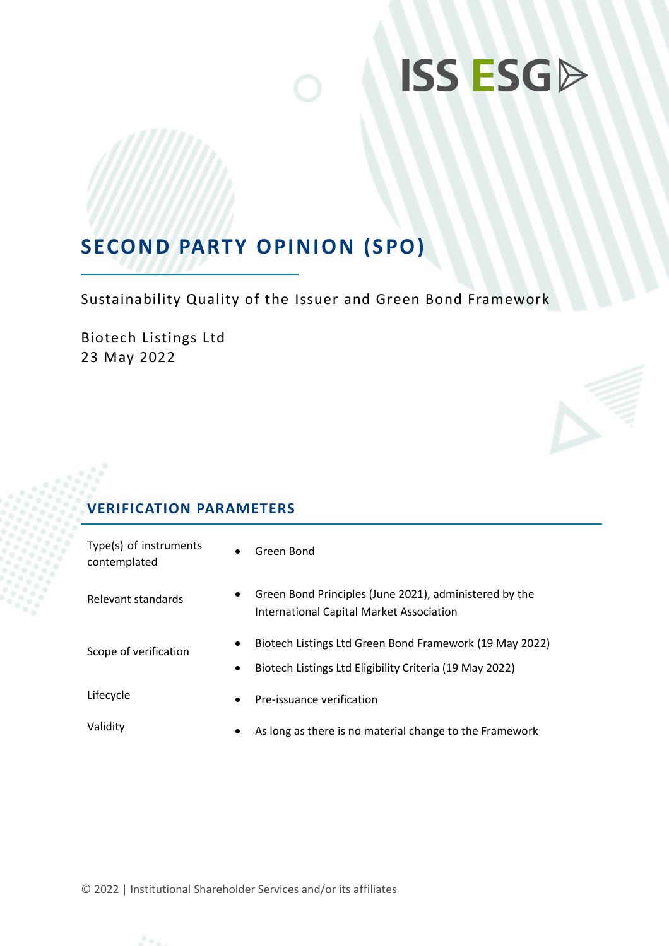# **ISS ESGD**

## **SECOND PARTY OPINION (SPO)**

Sustainability Quality of the Issuer and Green Bond Framework

Biotech Listings Ltd 23 May 2022

## **VERIFICATION PARAMETERS**

| Type(s) of instruments<br>contemplated | $\bullet$ | Green Bond                                                                                                         |
|----------------------------------------|-----------|--------------------------------------------------------------------------------------------------------------------|
| Relevant standards                     | $\bullet$ | Green Bond Principles (June 2021), administered by the<br>International Capital Market Association                 |
| Scope of verification                  | ٠         | Biotech Listings Ltd Green Bond Framework (19 May 2022)<br>Biotech Listings Ltd Eligibility Criteria (19 May 2022) |
| Lifecycle                              | $\bullet$ | Pre-issuance verification                                                                                          |
| Validity                               | ٠         | As long as there is no material change to the Framework                                                            |

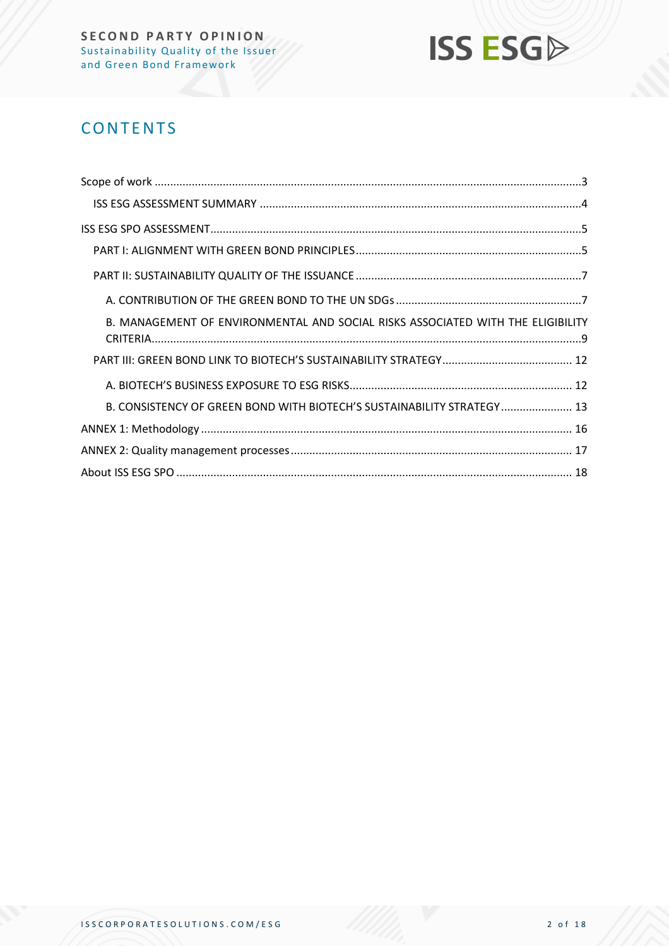

## **CONTENTS**

| B. MANAGEMENT OF ENVIRONMENTAL AND SOCIAL RISKS ASSOCIATED WITH THE ELIGIBILITY |  |
|---------------------------------------------------------------------------------|--|
|                                                                                 |  |
|                                                                                 |  |
| B. CONSISTENCY OF GREEN BOND WITH BIOTECH'S SUSTAINABILITY STRATEGY 13          |  |
|                                                                                 |  |
|                                                                                 |  |
|                                                                                 |  |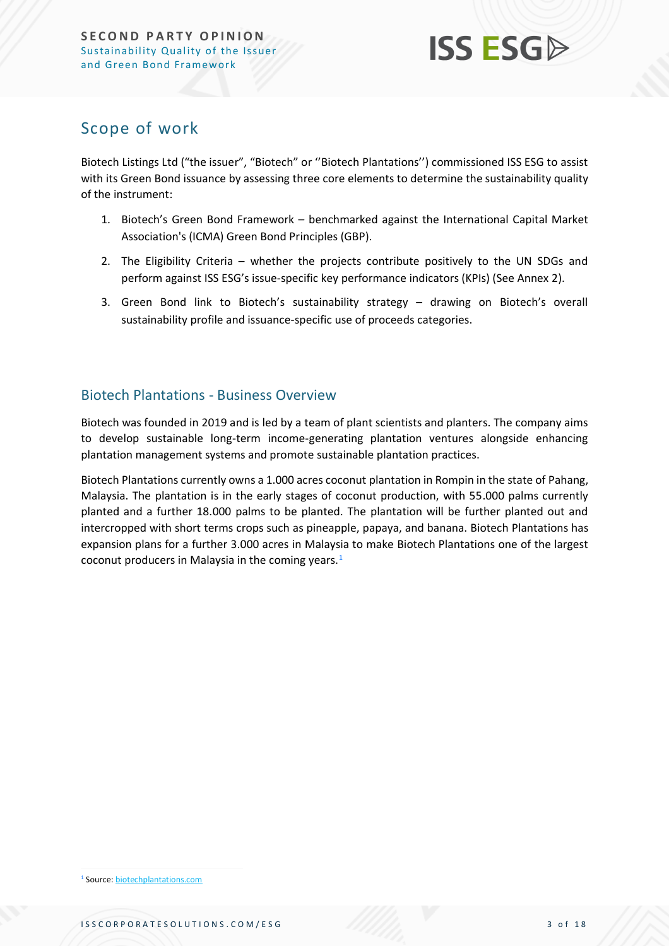

## <span id="page-2-0"></span>Scope of work

Biotech Listings Ltd ("the issuer", "Biotech" or ''Biotech Plantations'') commissioned ISS ESG to assist with its Green Bond issuance by assessing three core elements to determine the sustainability quality of the instrument:

- 1. Biotech's Green Bond Framework benchmarked against the International Capital Market Association's (ICMA) Green Bond Principles (GBP).
- 2. The Eligibility Criteria whether the projects contribute positively to the UN SDGs and perform against ISS ESG's issue-specific key performance indicators (KPIs) (See Annex 2).
- 3. Green Bond link to Biotech's sustainability strategy drawing on Biotech's overall sustainability profile and issuance-specific use of proceeds categories.

### Biotech Plantations - Business Overview

Biotech was founded in 2019 and is led by a team of plant scientists and planters. The company aims to develop sustainable long-term income-generating plantation ventures alongside enhancing plantation management systems and promote sustainable plantation practices.

Biotech Plantations currently owns a 1.000 acres coconut plantation in Rompin in the state of Pahang, Malaysia. The plantation is in the early stages of coconut production, with 55.000 palms currently planted and a further 18.000 palms to be planted. The plantation will be further planted out and intercropped with short terms crops such as pineapple, papaya, and banana. Biotech Plantations has expansion plans for a further 3.000 acres in Malaysia to make Biotech Plantations one of the largest coconut producers in Malaysia in the coming years.<sup>1</sup>

<sup>1</sup> Source: [biotechplantations.com](https://biotechplantations.com/our-projects/)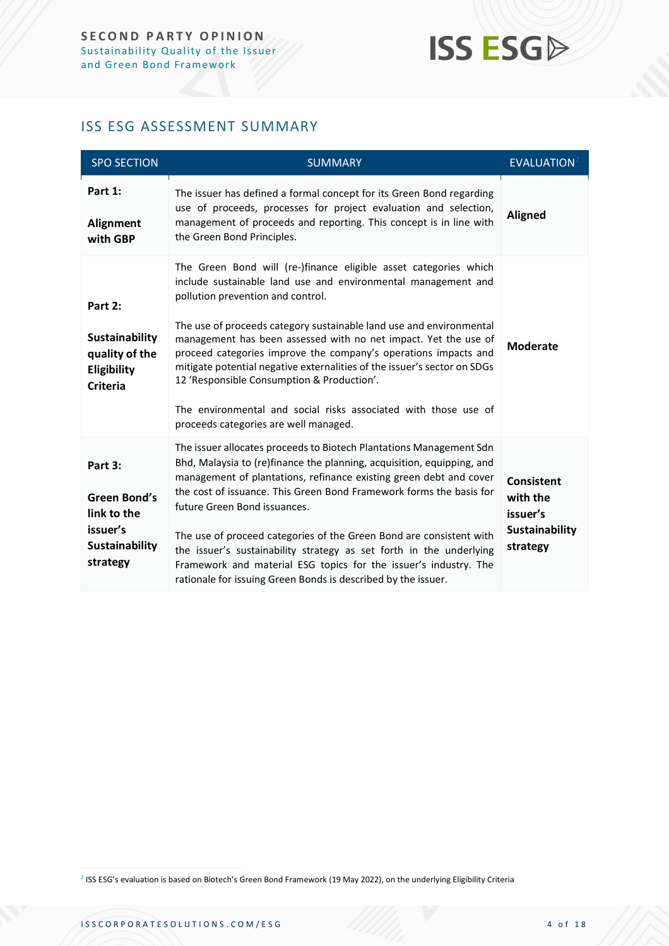## **ISS ESG**

## <span id="page-3-0"></span>ISS ESG ASSESSMENT SUMMARY

| <b>SPO SECTION</b>                                                                             | <b>SUMMARY</b>                                                                                                                                                                                                                                                                                                                                                                                                                                                                                                                                                                                                            | EVALUATION <sup>2</sup>                                                        |
|------------------------------------------------------------------------------------------------|---------------------------------------------------------------------------------------------------------------------------------------------------------------------------------------------------------------------------------------------------------------------------------------------------------------------------------------------------------------------------------------------------------------------------------------------------------------------------------------------------------------------------------------------------------------------------------------------------------------------------|--------------------------------------------------------------------------------|
| Part 1:<br><b>Alignment</b><br>with GBP                                                        | The issuer has defined a formal concept for its Green Bond regarding<br>use of proceeds, processes for project evaluation and selection,<br>management of proceeds and reporting. This concept is in line with<br>the Green Bond Principles.                                                                                                                                                                                                                                                                                                                                                                              | <b>Aligned</b>                                                                 |
| Part 2:<br><b>Sustainability</b><br>quality of the<br>Eligibility<br><b>Criteria</b>           | The Green Bond will (re-)finance eligible asset categories which<br>include sustainable land use and environmental management and<br>pollution prevention and control.<br>The use of proceeds category sustainable land use and environmental<br>management has been assessed with no net impact. Yet the use of<br>proceed categories improve the company's operations impacts and<br>mitigate potential negative externalities of the issuer's sector on SDGs<br>12 'Responsible Consumption & Production'.<br>The environmental and social risks associated with those use of<br>proceeds categories are well managed. | <b>Moderate</b>                                                                |
| Part 3:<br><b>Green Bond's</b><br>link to the<br>issuer's<br><b>Sustainability</b><br>strategy | The issuer allocates proceeds to Biotech Plantations Management Sdn<br>Bhd, Malaysia to (re)finance the planning, acquisition, equipping, and<br>management of plantations, refinance existing green debt and cover<br>the cost of issuance. This Green Bond Framework forms the basis for<br>future Green Bond issuances.<br>The use of proceed categories of the Green Bond are consistent with<br>the issuer's sustainability strategy as set forth in the underlying<br>Framework and material ESG topics for the issuer's industry. The<br>rationale for issuing Green Bonds is described by the issuer.             | <b>Consistent</b><br>with the<br>issuer's<br><b>Sustainability</b><br>strategy |

2 ISS ESG's evaluation is based on Biotech's Green Bond Framework (19 May 2022), on the underlying Eligibility Criteria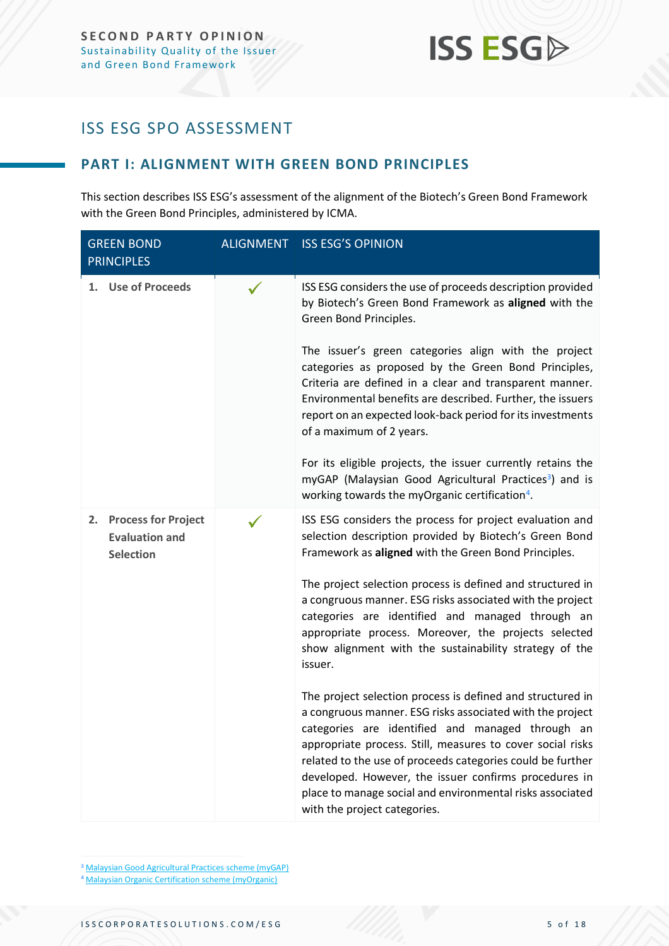## <span id="page-4-0"></span>ISS ESG SPO ASSESSMENT

### <span id="page-4-1"></span>**PART I: ALIGNMENT WITH GREEN BOND PRINCIPLES**

This section describes ISS ESG's assessment of the alignment of the Biotech's Green Bond Framework with the Green Bond Principles, administered by ICMA.

| <b>GREEN BOND</b><br><b>PRINCIPLES</b>                              |  | <b>ALIGNMENT ISS ESG'S OPINION</b>                                                                                                                                                                                                                                                                                                                                                                                                                            |  |
|---------------------------------------------------------------------|--|---------------------------------------------------------------------------------------------------------------------------------------------------------------------------------------------------------------------------------------------------------------------------------------------------------------------------------------------------------------------------------------------------------------------------------------------------------------|--|
| 1. Use of Proceeds                                                  |  | ISS ESG considers the use of proceeds description provided<br>by Biotech's Green Bond Framework as aligned with the<br>Green Bond Principles.                                                                                                                                                                                                                                                                                                                 |  |
|                                                                     |  | The issuer's green categories align with the project<br>categories as proposed by the Green Bond Principles,<br>Criteria are defined in a clear and transparent manner.<br>Environmental benefits are described. Further, the issuers<br>report on an expected look-back period for its investments<br>of a maximum of 2 years.                                                                                                                               |  |
|                                                                     |  | For its eligible projects, the issuer currently retains the<br>myGAP (Malaysian Good Agricultural Practices <sup>3</sup> ) and is<br>working towards the myOrganic certification <sup>4</sup> .                                                                                                                                                                                                                                                               |  |
| 2. Process for Project<br><b>Evaluation and</b><br><b>Selection</b> |  | ISS ESG considers the process for project evaluation and<br>selection description provided by Biotech's Green Bond<br>Framework as aligned with the Green Bond Principles.                                                                                                                                                                                                                                                                                    |  |
|                                                                     |  | The project selection process is defined and structured in<br>a congruous manner. ESG risks associated with the project<br>categories are identified and managed through an<br>appropriate process. Moreover, the projects selected<br>show alignment with the sustainability strategy of the<br>issuer.                                                                                                                                                      |  |
|                                                                     |  | The project selection process is defined and structured in<br>a congruous manner. ESG risks associated with the project<br>categories are identified and managed through an<br>appropriate process. Still, measures to cover social risks<br>related to the use of proceeds categories could be further<br>developed. However, the issuer confirms procedures in<br>place to manage social and environmental risks associated<br>with the project categories. |  |

<sup>3</sup> [Malaysian Good Agricultural Practices scheme \(myGAP\)](http://www.agricmelaka.gov.my/index.php?option=com_content&view=article&id=68:malaysian-good-agricultural-practices-scheme-mygap&catid=23&lang=en&Itemid=114&__ncforminfo=-4zjA4wqRUyquI7zue_5-DVEBCerO1NgZ_IL5KTHhsnvUAWT55ghSDWnI3ul3h4Zrt81Tn6cVNb1t_RgTpm-SzcRBK1CAjE6fIa7lACUpkNIYYYcIkb53fHjO4GabGUPGwiNjimvRrMNHwz2B2GtuA==)

<sup>4</sup> [Malaysian Organic Certification scheme \(myOrganic\)](http://www.agricmelaka.gov.my/index.php?option=com_content&view=article&id=69:malaysian-organic-certification-scheme-myorganic&catid=23&lang=en&Itemid=114&__ncforminfo=4ppTMWBRiTwa-wGOOafJcRCBEqk9_P9k5P9tWldVrUx0mACI4kFhLBr_ZF1E67kcW83ETp7Gs_WS72_LFDCZn_rfgBpRTeacC3FQLyDVjSOoLD8cXMVdKnOG-G-Zdq3d1oFTiU1mkNgkvBpmKWQwpw==)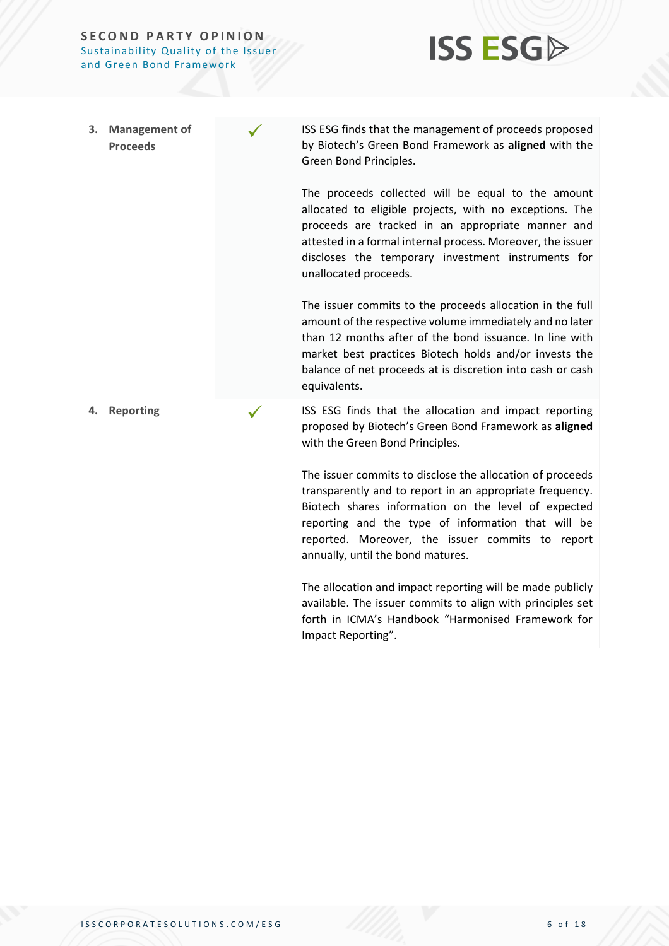#### **SECOND PARTY OPINION** Sustainability Quality of the Issuer and Green Bond Framework



| <b>Management of</b><br>3.<br><b>Proceeds</b> | ISS ESG finds that the management of proceeds proposed<br>by Biotech's Green Bond Framework as aligned with the<br>Green Bond Principles.<br>The proceeds collected will be equal to the amount<br>allocated to eligible projects, with no exceptions. The<br>proceeds are tracked in an appropriate manner and<br>attested in a formal internal process. Moreover, the issuer<br>discloses the temporary investment instruments for<br>unallocated proceeds.<br>The issuer commits to the proceeds allocation in the full<br>amount of the respective volume immediately and no later<br>than 12 months after of the bond issuance. In line with<br>market best practices Biotech holds and/or invests the<br>balance of net proceeds at is discretion into cash or cash<br>equivalents. |
|-----------------------------------------------|-------------------------------------------------------------------------------------------------------------------------------------------------------------------------------------------------------------------------------------------------------------------------------------------------------------------------------------------------------------------------------------------------------------------------------------------------------------------------------------------------------------------------------------------------------------------------------------------------------------------------------------------------------------------------------------------------------------------------------------------------------------------------------------------|
| <b>Reporting</b><br>4.                        | ISS ESG finds that the allocation and impact reporting<br>proposed by Biotech's Green Bond Framework as aligned<br>with the Green Bond Principles.<br>The issuer commits to disclose the allocation of proceeds<br>transparently and to report in an appropriate frequency.<br>Biotech shares information on the level of expected<br>reporting and the type of information that will be<br>reported. Moreover, the issuer commits to report<br>annually, until the bond matures.<br>The allocation and impact reporting will be made publicly<br>available. The issuer commits to align with principles set<br>forth in ICMA's Handbook "Harmonised Framework for<br>Impact Reporting".                                                                                                  |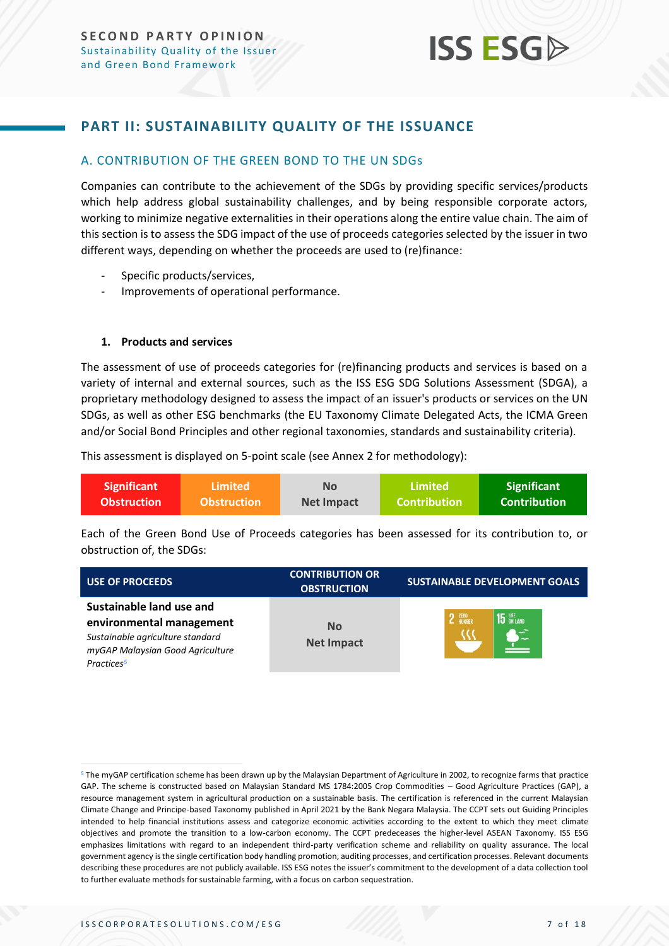### <span id="page-6-0"></span>**PART II: SUSTAINABILITY QUALITY OF THE ISSUANCE**

#### <span id="page-6-1"></span>A. CONTRIBUTION OF THE GREEN BOND TO THE UN SDGs

Companies can contribute to the achievement of the SDGs by providing specific services/products which help address global sustainability challenges, and by being responsible corporate actors, working to minimize negative externalities in their operations along the entire value chain. The aim of this section is to assess the SDG impact of the use of proceeds categories selected by the issuer in two different ways, depending on whether the proceeds are used to (re)finance:

- Specific products/services,
- Improvements of operational performance.

#### **1. Products and services**

The assessment of use of proceeds categories for (re)financing products and services is based on a variety of internal and external sources, such as the ISS ESG SDG Solutions Assessment (SDGA), a proprietary methodology designed to assess the impact of an issuer's products or services on the UN SDGs, as well as other ESG benchmarks (the EU Taxonomy Climate Delegated Acts, the ICMA Green and/or Social Bond Principles and other regional taxonomies, standards and sustainability criteria).

This assessment is displayed on 5-point scale (see Annex 2 for methodology):

| <b>Significant</b> | Limited <b>\</b>   | Nο         | <b>Limited</b>      | <b>Significant</b> |
|--------------------|--------------------|------------|---------------------|--------------------|
| <b>Obstruction</b> | <b>Obstruction</b> | Net Impact | <b>Contribution</b> | Contribution !     |

Each of the Green Bond Use of Proceeds categories has been assessed for its contribution to, or obstruction of, the SDGs:

| <b>USE OF PROCEEDS</b>                                                                                                                                 | <b>CONTRIBUTION OR</b><br><b>OBSTRUCTION</b> | <b>SUSTAINABLE DEVELOPMENT GOALS</b> |  |
|--------------------------------------------------------------------------------------------------------------------------------------------------------|----------------------------------------------|--------------------------------------|--|
| Sustainable land use and<br>environmental management<br>Sustainable agriculture standard<br>myGAP Malaysian Good Agriculture<br>Practices <sup>5</sup> | No<br><b>Net Impact</b>                      | 2 ZERO<br>$15$ $\frac{LFE}{D}$       |  |

<sup>&</sup>lt;sup>5</sup> The myGAP certification scheme has been drawn up by the Malaysian Department of Agriculture in 2002, to recognize farms that practice GAP. The scheme is constructed based on Malaysian Standard MS 1784:2005 Crop Commodities – Good Agriculture Practices (GAP), a resource management system in agricultural production on a sustainable basis. The certification is referenced in the current Malaysian Climate Change and Principe-based Taxonomy published in April 2021 by the Bank Negara Malaysia. The CCPT sets out Guiding Principles intended to help financial institutions assess and categorize economic activities according to the extent to which they meet climate objectives and promote the transition to a low-carbon economy. The CCPT predeceases the higher-level ASEAN Taxonomy. ISS ESG emphasizes limitations with regard to an independent third-party verification scheme and reliability on quality assurance. The local government agency isthe single certification body handling promotion, auditing processes, and certification processes. Relevant documents describing these procedures are not publicly available. ISS ESG notes the issuer's commitment to the development of a data collection tool to further evaluate methods for sustainable farming, with a focus on carbon sequestration.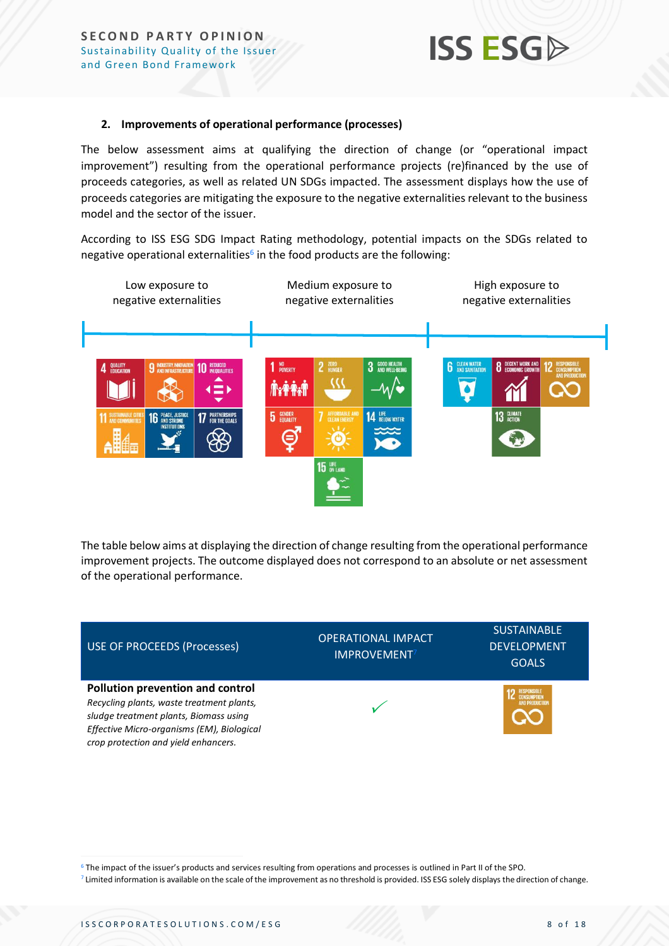

#### **2. Improvements of operational performance (processes)**

The below assessment aims at qualifying the direction of change (or "operational impact improvement") resulting from the operational performance projects (re)financed by the use of proceeds categories, as well as related UN SDGs impacted. The assessment displays how the use of proceeds categories are mitigating the exposure to the negative externalities relevant to the business model and the sector of the issuer.

According to ISS ESG SDG Impact Rating methodology, potential impacts on the SDGs related to negative operational externalities<sup>6</sup> in the food products are the following:



The table below aims at displaying the direction of change resulting from the operational performance improvement projects. The outcome displayed does not correspond to an absolute or net assessment of the operational performance.



<sup>6</sup> The impact of the issuer's products and services resulting from operations and processes is outlined in Part II of the SPO.

<sup>&</sup>lt;sup>7</sup> Limited information is available on the scale of the improvement as no threshold is provided. ISS ESG solely displays the direction of change.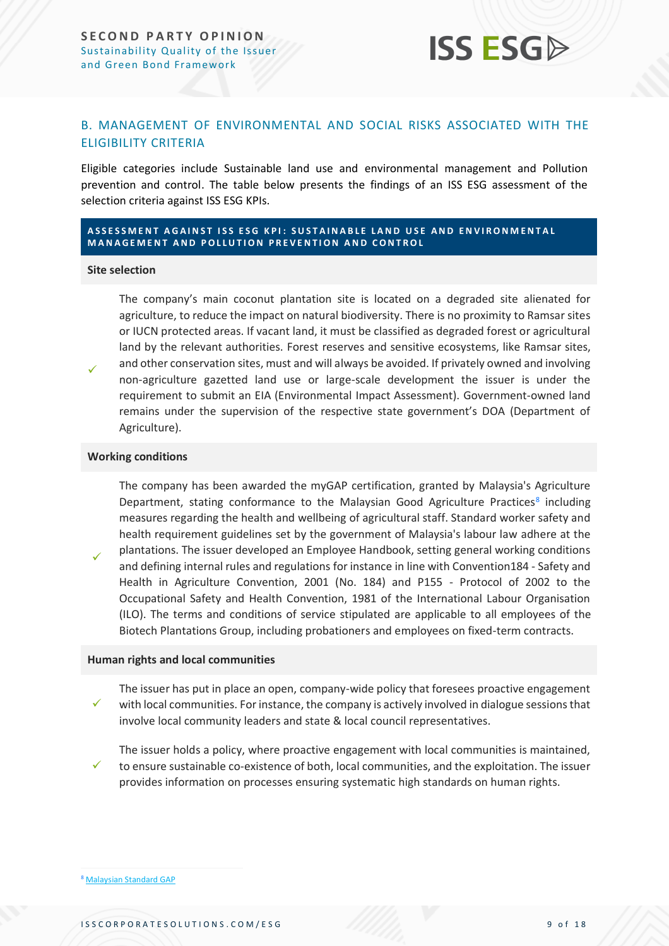

#### <span id="page-8-0"></span>B. MANAGEMENT OF ENVIRONMENTAL AND SOCIAL RISKS ASSOCIATED WITH THE ELIGIBILITY CRITERIA

Eligible categories include Sustainable land use and environmental management and Pollution prevention and control. The table below presents the findings of an ISS ESG assessment of the selection criteria against ISS ESG KPIs.

#### **A S S E S S M E N T A G A I N S T I S S E S G K P I : S U S T A I N A B L E L A N D U S E A N D E N V I R O N M E N T A L MANAGEMENT AND POLLUTION PREVENTION AND CONTROL**

#### **Site selection**

✓

✓

The company's main coconut plantation site is located on a degraded site alienated for agriculture, to reduce the impact on natural biodiversity. There is no proximity to Ramsar sites or IUCN protected areas. If vacant land, it must be classified as degraded forest or agricultural land by the relevant authorities. Forest reserves and sensitive ecosystems, like Ramsar sites, and other conservation sites, must and will always be avoided. If privately owned and involving non-agriculture gazetted land use or large-scale development the issuer is under the requirement to submit an EIA (Environmental Impact Assessment). Government-owned land remains under the supervision of the respective state government's DOA (Department of Agriculture).

#### **Working conditions**

The company has been awarded the myGAP certification, granted by Malaysia's Agriculture Department, stating conformance to the Malaysian Good Agriculture Practices<sup>8</sup> including measures regarding the health and wellbeing of agricultural staff. Standard worker safety and health requirement guidelines set by the government of Malaysia's labour law adhere at the plantations. The issuer developed an Employee Handbook, setting general working conditions and defining internal rules and regulations for instance in line with Convention184 - Safety and Health in Agriculture Convention, 2001 (No. 184) and P155 - Protocol of 2002 to the Occupational Safety and Health Convention, 1981 of the International Labour Organisation (ILO). The terms and conditions of service stipulated are applicable to all employees of the Biotech Plantations Group, including probationers and employees on fixed-term contracts.

#### **Human rights and local communities**

✓ The issuer has put in place an open, company-wide policy that foresees proactive engagement with local communities. For instance, the company is actively involved in dialogue sessions that involve local community leaders and state & local council representatives.

✓ The issuer holds a policy, where proactive engagement with local communities is maintained, to ensure sustainable co-existence of both, local communities, and the exploitation. The issuer provides information on processes ensuring systematic high standards on human rights.

<sup>8</sup> [Malaysian Standard GAP](https://law.resource.org/pub/my/ibr/ms.1784.7.2007.pdf)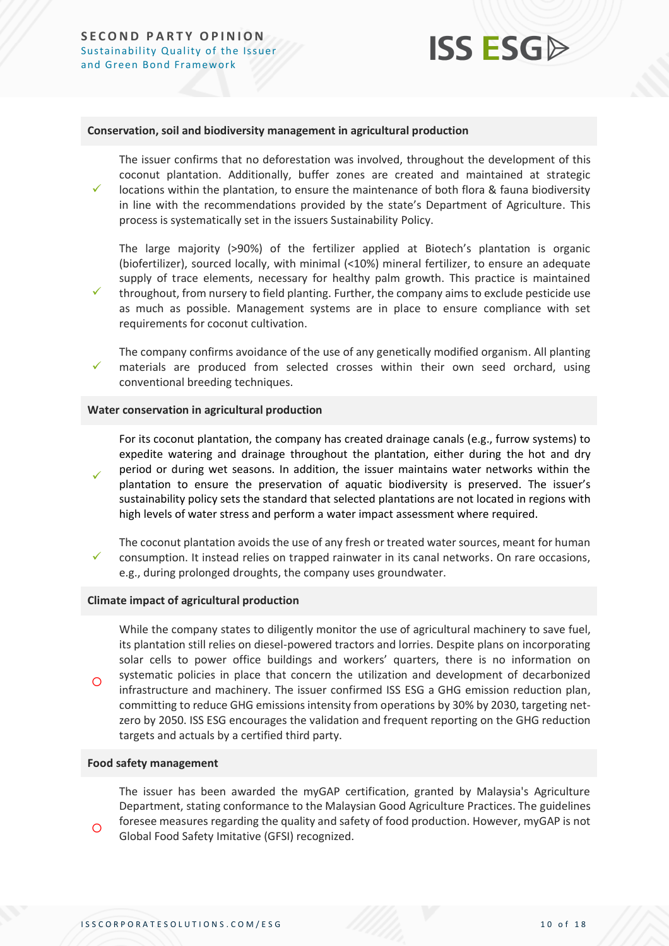✓

## **ISS ESG**

#### **Conservation, soil and biodiversity management in agricultural production**

The issuer confirms that no deforestation was involved, throughout the development of this coconut plantation. Additionally, buffer zones are created and maintained at strategic

✓ locations within the plantation, to ensure the maintenance of both flora & fauna biodiversity in line with the recommendations provided by the state's Department of Agriculture. This process is systematically set in the issuers Sustainability Policy.

The large majority (>90%) of the fertilizer applied at Biotech's plantation is organic (biofertilizer), sourced locally, with minimal (<10%) mineral fertilizer, to ensure an adequate supply of trace elements, necessary for healthy palm growth. This practice is maintained throughout, from nursery to field planting. Further, the company aims to exclude pesticide use as much as possible. Management systems are in place to ensure compliance with set requirements for coconut cultivation.

✓ The company confirms avoidance of the use of any genetically modified organism. All planting materials are produced from selected crosses within their own seed orchard, using conventional breeding techniques.

#### **Water conservation in agricultural production**

✓ For its coconut plantation, the company has created drainage canals (e.g., furrow systems) to expedite watering and drainage throughout the plantation, either during the hot and dry period or during wet seasons. In addition, the issuer maintains water networks within the plantation to ensure the preservation of aquatic biodiversity is preserved. The issuer's sustainability policy sets the standard that selected plantations are not located in regions with high levels of water stress and perform a water impact assessment where required.

✓ The coconut plantation avoids the use of any fresh or treated water sources, meant for human consumption. It instead relies on trapped rainwater in its canal networks. On rare occasions, e.g., during prolonged droughts, the company uses groundwater.

#### **Climate impact of agricultural production**

 $\Omega$ While the company states to diligently monitor the use of agricultural machinery to save fuel, its plantation still relies on diesel-powered tractors and lorries. Despite plans on incorporating solar cells to power office buildings and workers' quarters, there is no information on systematic policies in place that concern the utilization and development of decarbonized infrastructure and machinery. The issuer confirmed ISS ESG a GHG emission reduction plan, committing to reduce GHG emissions intensity from operations by 30% by 2030, targeting netzero by 2050. ISS ESG encourages the validation and frequent reporting on the GHG reduction targets and actuals by a certified third party.

#### **Food safety management**

 $\circ$ 

The issuer has been awarded the myGAP certification, granted by Malaysia's Agriculture Department, stating conformance to the Malaysian Good Agriculture Practices. The guidelines foresee measures regarding the quality and safety of food production. However, myGAP is not Global Food Safety Imitative (GFSI) recognized.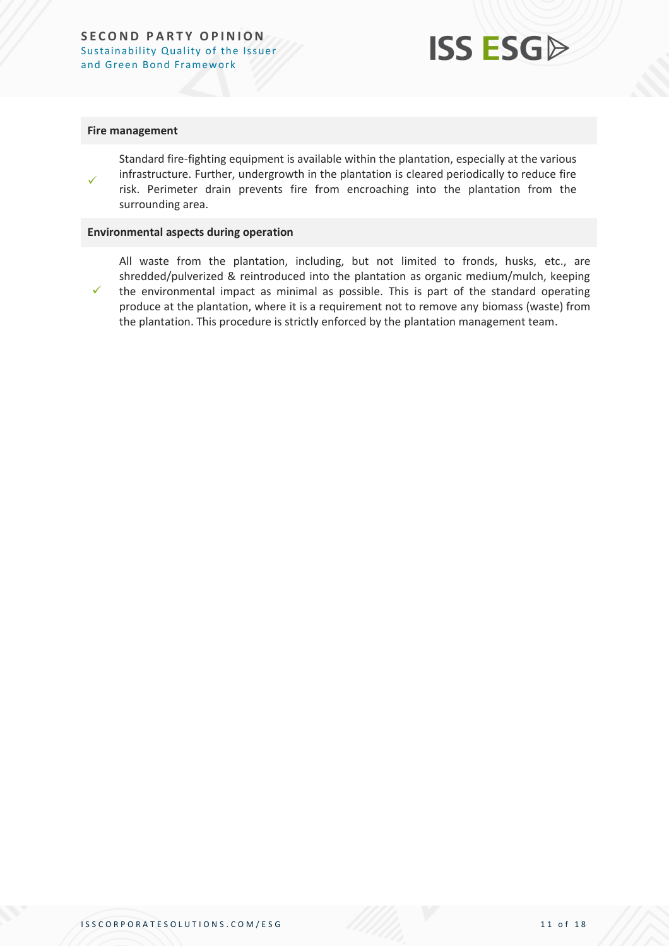

#### **Fire management**

✓

✓

Standard fire-fighting equipment is available within the plantation, especially at the various infrastructure. Further, undergrowth in the plantation is cleared periodically to reduce fire risk. Perimeter drain prevents fire from encroaching into the plantation from the surrounding area.

#### **Environmental aspects during operation**

All waste from the plantation, including, but not limited to fronds, husks, etc., are shredded/pulverized & reintroduced into the plantation as organic medium/mulch, keeping the environmental impact as minimal as possible. This is part of the standard operating produce at the plantation, where it is a requirement not to remove any biomass (waste) from the plantation. This procedure is strictly enforced by the plantation management team.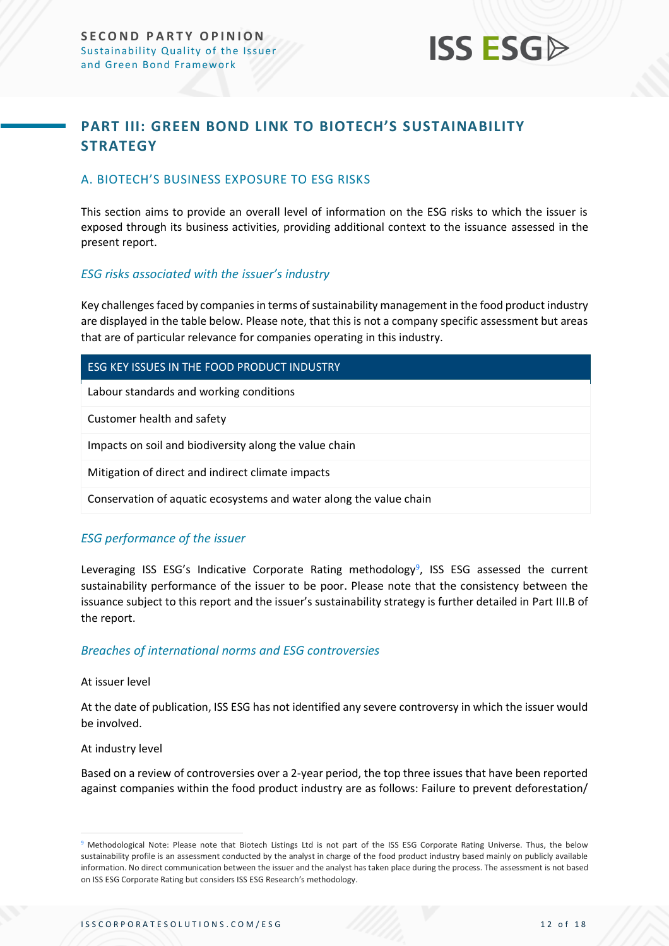

## <span id="page-11-0"></span>**PART III: GREEN BOND LINK TO BIOTECH'S SUSTAINABILITY STRATEGY**

#### <span id="page-11-1"></span>A. BIOTECH'S BUSINESS EXPOSURE TO ESG RISKS

This section aims to provide an overall level of information on the ESG risks to which the issuer is exposed through its business activities, providing additional context to the issuance assessed in the present report.

#### *ESG risks associated with the issuer's industry*

Key challenges faced by companies in terms of sustainability management in the food product industry are displayed in the table below. Please note, that this is not a company specific assessment but areas that are of particular relevance for companies operating in this industry.

#### ESG KEY ISSUES IN THE FOOD PRODUCT INDUSTRY

Labour standards and working conditions

Customer health and safety

Impacts on soil and biodiversity along the value chain

Mitigation of direct and indirect climate impacts

Conservation of aquatic ecosystems and water along the value chain

#### *ESG performance of the issuer*

Leveraging ISS ESG's Indicative Corporate Rating methodology<sup>9</sup>, ISS ESG assessed the current sustainability performance of the issuer to be poor. Please note that the consistency between the issuance subject to this report and the issuer's sustainability strategy is further detailed in Part III.B of the report.

#### *Breaches of international norms and ESG controversies*

#### At issuer level

At the date of publication, ISS ESG has not identified any severe controversy in which the issuer would be involved.

#### At industry level

Based on a review of controversies over a 2-year period, the top three issues that have been reported against companies within the food product industry are as follows: Failure to prevent deforestation/

<sup>9</sup> Methodological Note: Please note that Biotech Listings Ltd is not part of the ISS ESG Corporate Rating Universe. Thus, the below sustainability profile is an assessment conducted by the analyst in charge of the food product industry based mainly on publicly available information. No direct communication between the issuer and the analyst has taken place during the process. The assessment is not based on ISS ESG Corporate Rating but considers ISS ESG Research's methodology.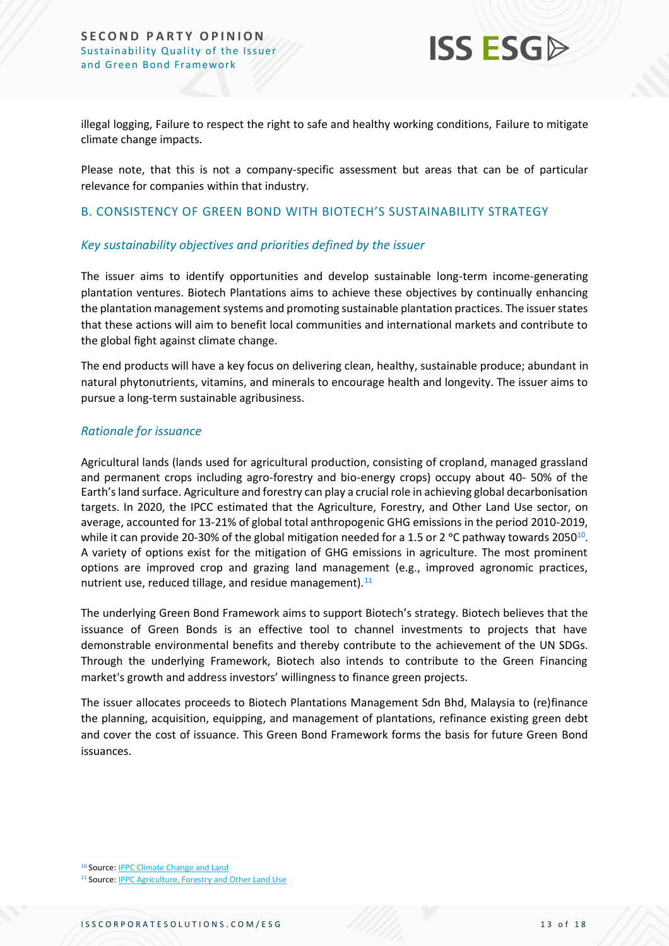

illegal logging, Failure to respect the right to safe and healthy working conditions, Failure to mitigate climate change impacts.

Please note, that this is not a company-specific assessment but areas that can be of particular relevance for companies within that industry.

#### <span id="page-12-0"></span>B. CONSISTENCY OF GREEN BOND WITH BIOTECH'S SUSTAINABILITY STRATEGY

#### *Key sustainability objectives and priorities defined by the issuer*

The issuer aims to identify opportunities and develop sustainable long-term income-generating plantation ventures. Biotech Plantations aims to achieve these objectives by continually enhancing the plantation management systems and promoting sustainable plantation practices. The issuer states that these actions will aim to benefit local communities and international markets and contribute to the global fight against climate change.

The end products will have a key focus on delivering clean, healthy, sustainable produce; abundant in natural phytonutrients, vitamins, and minerals to encourage health and longevity. The issuer aims to pursue a long-term sustainable agribusiness.

#### *Rationale for issuance*

Agricultural lands (lands used for agricultural production, consisting of cropland, managed grassland and permanent crops including agro-forestry and bio-energy crops) occupy about 40- 50% of the Earth's land surface. Agriculture and forestry can play a crucial role in achieving global decarbonisation targets. In 2020, the IPCC estimated that the Agriculture, Forestry, and Other Land Use sector, on average, accounted for 13-21% of global total anthropogenic GHG emissions in the period 2010-2019, while it can provide 20-30% of the global mitigation needed for a 1.5 or 2 °C pathway towards 2050 $^{10}$ . A variety of options exist for the mitigation of GHG emissions in agriculture. The most prominent options are improved crop and grazing land management (e.g., improved agronomic practices, nutrient use, reduced tillage, and residue management).<sup>11</sup>

The underlying Green Bond Framework aims to support Biotech's strategy. Biotech believes that the issuance of Green Bonds is an effective tool to channel investments to projects that have demonstrable environmental benefits and thereby contribute to the achievement of the UN SDGs. Through the underlying Framework, Biotech also intends to contribute to the Green Financing market's growth and address investors' willingness to finance green projects.

The issuer allocates proceeds to Biotech Plantations Management Sdn Bhd, Malaysia to (re)finance the planning, acquisition, equipping, and management of plantations, refinance existing green debt and cover the cost of issuance. This Green Bond Framework forms the basis for future Green Bond issuances.

<sup>10</sup> Source[: IPPC Climate Change and Land](https://www.ipcc.ch/site/assets/uploads/sites/4/2020/02/SPM_Updated-Jan20.pdf)

<sup>&</sup>lt;sup>11</sup> Source: **IPPC Agriculture, Forestry and Other Land Use**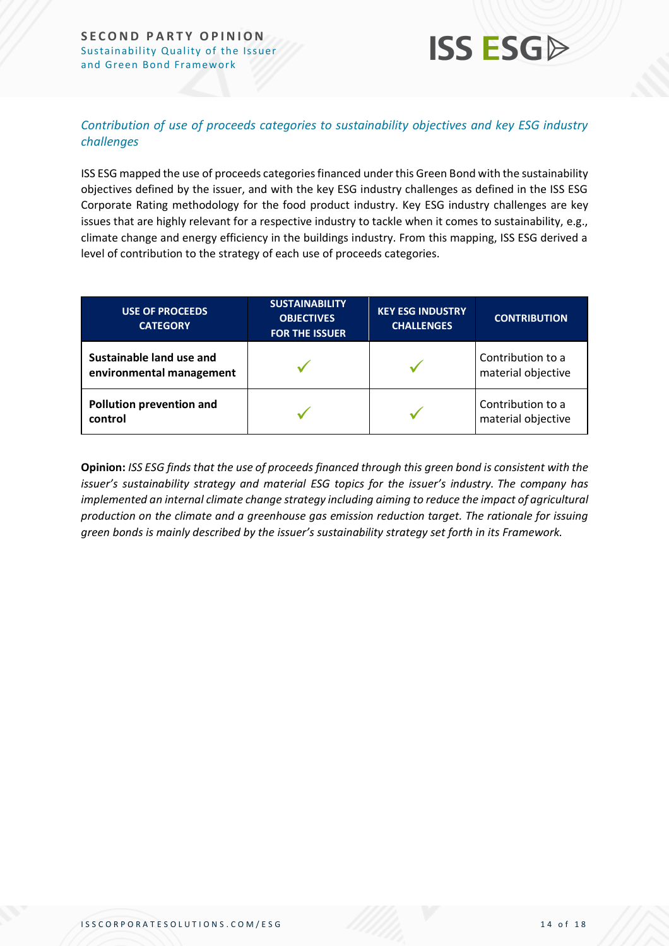#### **SECOND PARTY OPINION** Sustainability Quality of the Issuer and Green Bond Framework



#### *Contribution of use of proceeds categories to sustainability objectives and key ESG industry challenges*

ISS ESG mapped the use of proceeds categories financed under this Green Bond with the sustainability objectives defined by the issuer, and with the key ESG industry challenges as defined in the ISS ESG Corporate Rating methodology for the food product industry. Key ESG industry challenges are key issues that are highly relevant for a respective industry to tackle when it comes to sustainability, e.g., climate change and energy efficiency in the buildings industry. From this mapping, ISS ESG derived a level of contribution to the strategy of each use of proceeds categories.

| <b>USE OF PROCEEDS</b><br><b>CATEGORY</b>            | <b>SUSTAINABILITY</b><br><b>OBJECTIVES</b><br><b>FOR THE ISSUER</b> | <b>KEY ESG INDUSTRY</b><br><b>CHALLENGES</b> | <b>CONTRIBUTION</b>                     |
|------------------------------------------------------|---------------------------------------------------------------------|----------------------------------------------|-----------------------------------------|
| Sustainable land use and<br>environmental management |                                                                     |                                              | Contribution to a<br>material objective |
| Pollution prevention and<br>control                  |                                                                     |                                              | Contribution to a<br>material objective |

**Opinion:** *ISS ESG finds that the use of proceeds financed through this green bond is consistent with the issuer's sustainability strategy and material ESG topics for the issuer's industry. The company has implemented an internal climate change strategy including aiming to reduce the impact of agricultural production on the climate and a greenhouse gas emission reduction target. The rationale for issuing green bonds is mainly described by the issuer's sustainability strategy set forth in its Framework.*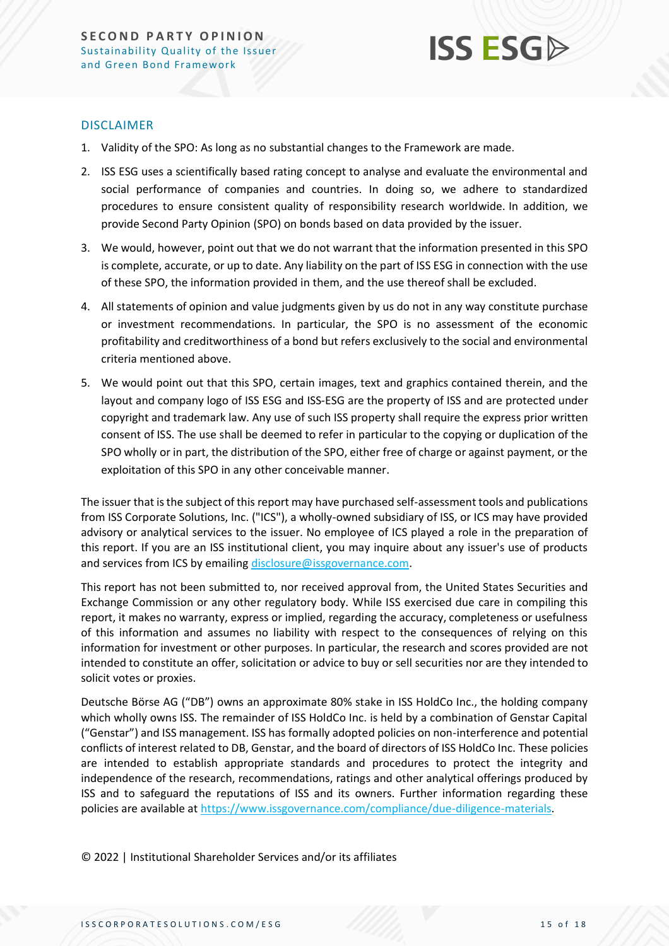

#### DISCLAIMER

- 1. Validity of the SPO: As long as no substantial changes to the Framework are made.
- 2. ISS ESG uses a scientifically based rating concept to analyse and evaluate the environmental and social performance of companies and countries. In doing so, we adhere to standardized procedures to ensure consistent quality of responsibility research worldwide. In addition, we provide Second Party Opinion (SPO) on bonds based on data provided by the issuer.
- 3. We would, however, point out that we do not warrant that the information presented in this SPO is complete, accurate, or up to date. Any liability on the part of ISS ESG in connection with the use of these SPO, the information provided in them, and the use thereof shall be excluded.
- 4. All statements of opinion and value judgments given by us do not in any way constitute purchase or investment recommendations. In particular, the SPO is no assessment of the economic profitability and creditworthiness of a bond but refers exclusively to the social and environmental criteria mentioned above.
- 5. We would point out that this SPO, certain images, text and graphics contained therein, and the layout and company logo of ISS ESG and ISS-ESG are the property of ISS and are protected under copyright and trademark law. Any use of such ISS property shall require the express prior written consent of ISS. The use shall be deemed to refer in particular to the copying or duplication of the SPO wholly or in part, the distribution of the SPO, either free of charge or against payment, or the exploitation of this SPO in any other conceivable manner.

The issuer that is the subject of this report may have purchased self-assessment tools and publications from ISS Corporate Solutions, Inc. ("ICS"), a wholly-owned subsidiary of ISS, or ICS may have provided advisory or analytical services to the issuer. No employee of ICS played a role in the preparation of this report. If you are an ISS institutional client, you may inquire about any issuer's use of products and services from ICS by emailing [disclosure@issgovernance.com.](mailto:disclosure@issgovernance.com)

This report has not been submitted to, nor received approval from, the United States Securities and Exchange Commission or any other regulatory body. While ISS exercised due care in compiling this report, it makes no warranty, express or implied, regarding the accuracy, completeness or usefulness of this information and assumes no liability with respect to the consequences of relying on this information for investment or other purposes. In particular, the research and scores provided are not intended to constitute an offer, solicitation or advice to buy or sell securities nor are they intended to solicit votes or proxies.

Deutsche Börse AG ("DB") owns an approximate 80% stake in ISS HoldCo Inc., the holding company which wholly owns ISS. The remainder of ISS HoldCo Inc. is held by a combination of Genstar Capital ("Genstar") and ISS management. ISS has formally adopted policies on non-interference and potential conflicts of interest related to DB, Genstar, and the board of directors of ISS HoldCo Inc. These policies are intended to establish appropriate standards and procedures to protect the integrity and independence of the research, recommendations, ratings and other analytical offerings produced by ISS and to safeguard the reputations of ISS and its owners. Further information regarding these policies are available at [https://www.issgovernance.com/compliance/due-diligence-materials.](https://www.issgovernance.com/compliance/due-diligence-materials)

© 2022 | Institutional Shareholder Services and/or its affiliates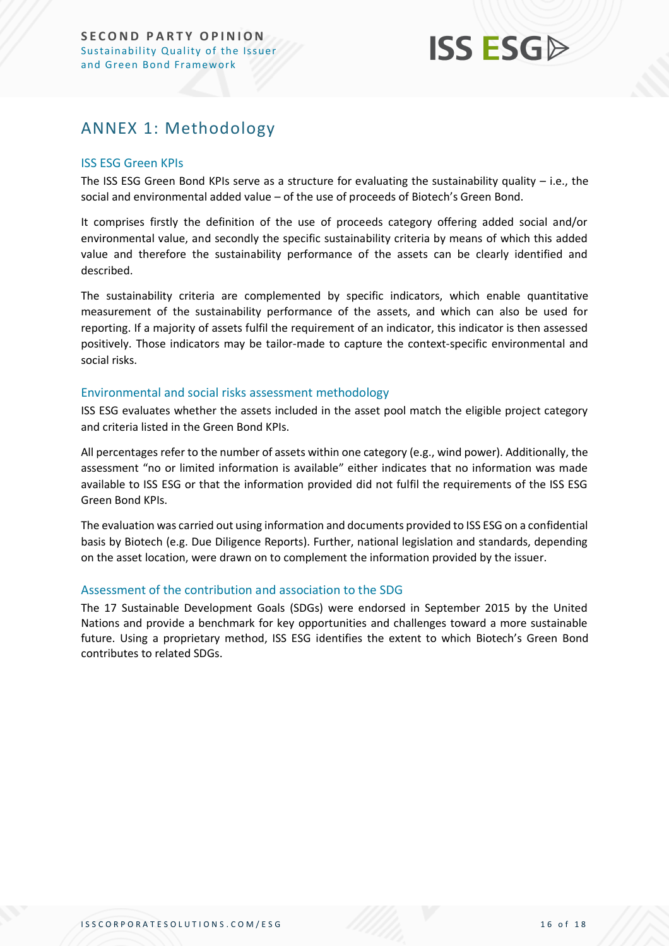## **ISS ESG**

## <span id="page-15-0"></span>ANNEX 1: Methodology

#### ISS ESG Green KPIs

The ISS ESG Green Bond KPIs serve as a structure for evaluating the sustainability quality – i.e., the social and environmental added value – of the use of proceeds of Biotech's Green Bond.

It comprises firstly the definition of the use of proceeds category offering added social and/or environmental value, and secondly the specific sustainability criteria by means of which this added value and therefore the sustainability performance of the assets can be clearly identified and described.

The sustainability criteria are complemented by specific indicators, which enable quantitative measurement of the sustainability performance of the assets, and which can also be used for reporting. If a majority of assets fulfil the requirement of an indicator, this indicator is then assessed positively. Those indicators may be tailor-made to capture the context-specific environmental and social risks.

#### Environmental and social risks assessment methodology

ISS ESG evaluates whether the assets included in the asset pool match the eligible project category and criteria listed in the Green Bond KPIs.

All percentages refer to the number of assets within one category (e.g., wind power). Additionally, the assessment "no or limited information is available" either indicates that no information was made available to ISS ESG or that the information provided did not fulfil the requirements of the ISS ESG Green Bond KPIs.

The evaluation was carried out using information and documents provided to ISS ESG on a confidential basis by Biotech (e.g. Due Diligence Reports). Further, national legislation and standards, depending on the asset location, were drawn on to complement the information provided by the issuer.

#### Assessment of the contribution and association to the SDG

The 17 Sustainable Development Goals (SDGs) were endorsed in September 2015 by the United Nations and provide a benchmark for key opportunities and challenges toward a more sustainable future. Using a proprietary method, ISS ESG identifies the extent to which Biotech's Green Bond contributes to related SDGs.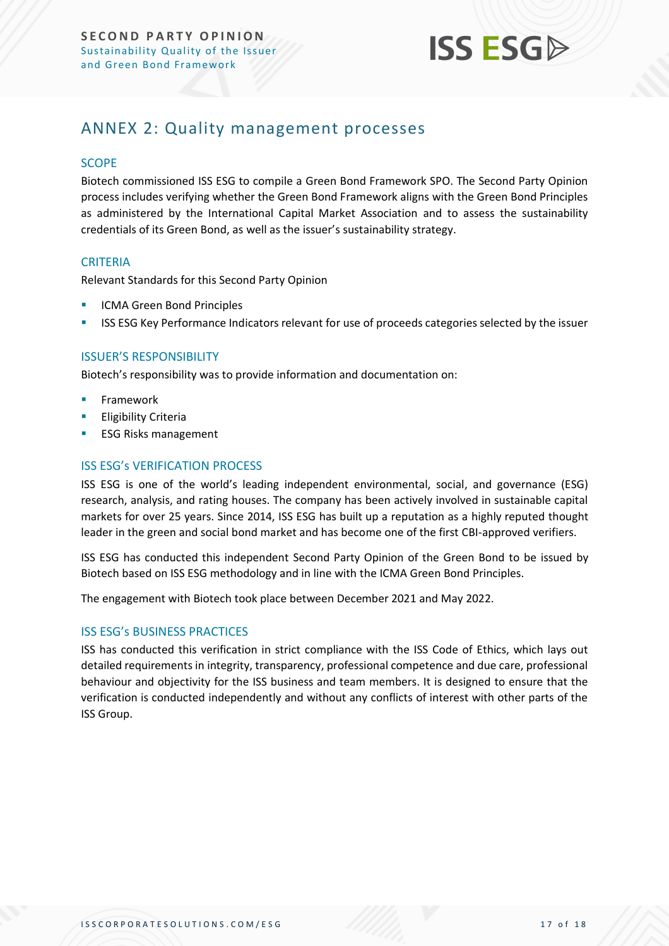

## <span id="page-16-0"></span>ANNEX 2: Quality management processes

#### **SCOPE**

Biotech commissioned ISS ESG to compile a Green Bond Framework SPO. The Second Party Opinion process includes verifying whether the Green Bond Framework aligns with the Green Bond Principles as administered by the International Capital Market Association and to assess the sustainability credentials of its Green Bond, as well as the issuer's sustainability strategy.

#### **CRITERIA**

Relevant Standards for this Second Party Opinion

- **ICMA Green Bond Principles**
- **EXECTS ESG Key Performance Indicators relevant for use of proceeds categories selected by the issuer**

#### ISSUER'S RESPONSIBILITY

Biotech's responsibility was to provide information and documentation on:

- **Framework**
- **Eligibility Criteria**
- **ESG Risks management**

#### ISS ESG's VERIFICATION PROCESS

ISS ESG is one of the world's leading independent environmental, social, and governance (ESG) research, analysis, and rating houses. The company has been actively involved in sustainable capital markets for over 25 years. Since 2014, ISS ESG has built up a reputation as a highly reputed thought leader in the green and social bond market and has become one of the first CBI-approved verifiers.

ISS ESG has conducted this independent Second Party Opinion of the Green Bond to be issued by Biotech based on ISS ESG methodology and in line with the ICMA Green Bond Principles.

The engagement with Biotech took place between December 2021 and May 2022.

#### ISS ESG's BUSINESS PRACTICES

ISS has conducted this verification in strict compliance with the ISS Code of Ethics, which lays out detailed requirements in integrity, transparency, professional competence and due care, professional behaviour and objectivity for the ISS business and team members. It is designed to ensure that the verification is conducted independently and without any conflicts of interest with other parts of the ISS Group.